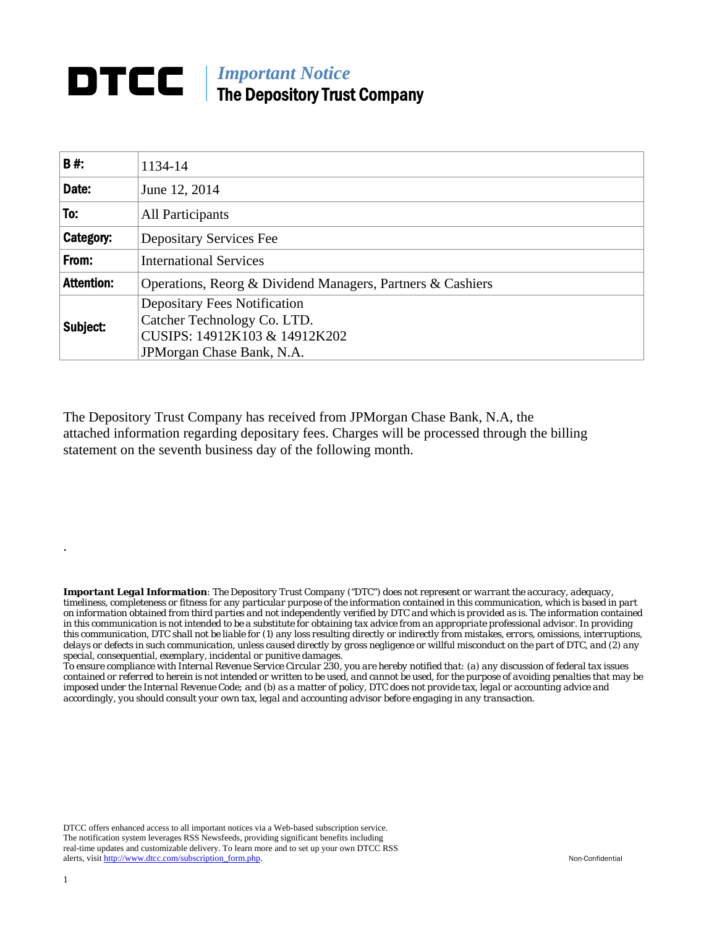## **DTCC** | *Important Notice* The Depository Trust Company

| <b>B#:</b>        | 1134-14                                                                                                                           |  |  |  |  |  |
|-------------------|-----------------------------------------------------------------------------------------------------------------------------------|--|--|--|--|--|
| Date:             | June 12, 2014                                                                                                                     |  |  |  |  |  |
| To:               | All Participants                                                                                                                  |  |  |  |  |  |
| Category:         | Depositary Services Fee                                                                                                           |  |  |  |  |  |
| From:             | <b>International Services</b>                                                                                                     |  |  |  |  |  |
| <b>Attention:</b> | Operations, Reorg & Dividend Managers, Partners & Cashiers                                                                        |  |  |  |  |  |
| Subject:          | <b>Depositary Fees Notification</b><br>Catcher Technology Co. LTD.<br>CUSIPS: 14912K103 & 14912K202<br>JPM organ Chase Bank, N.A. |  |  |  |  |  |

The Depository Trust Company has received from JPMorgan Chase Bank, N.A, the attached information regarding depositary fees. Charges will be processed through the billing statement on the seventh business day of the following month.

*Important Legal Information: The Depository Trust Company ("DTC") does not represent or warrant the accuracy, adequacy, timeliness, completeness or fitness for any particular purpose of the information contained in this communication, which is based in part on information obtained from third parties and not independently verified by DTC and which is provided as is. The information contained in this communication is not intended to be a substitute for obtaining tax advice from an appropriate professional advisor. In providing this communication, DTC shall not be liable for (1) any loss resulting directly or indirectly from mistakes, errors, omissions, interruptions, delays or defects in such communication, unless caused directly by gross negligence or willful misconduct on the part of DTC, and (2) any special, consequential, exemplary, incidental or punitive damages.* 

*To ensure compliance with Internal Revenue Service Circular 230, you are hereby notified that: (a) any discussion of federal tax issues contained or referred to herein is not intended or written to be used, and cannot be used, for the purpose of avoiding penalties that may be imposed under the Internal Revenue Code; and (b) as a matter of policy, DTC does not provide tax, legal or accounting advice and accordingly, you should consult your own tax, legal and accounting advisor before engaging in any transaction.*

DTCC offers enhanced access to all important notices via a Web-based subscription service. The notification system leverages RSS Newsfeeds, providing significant benefits including real-time updates and customizable delivery. To learn more and to set up your own DTCC RSS alerts, visit http://www.dtcc.com/subscription\_form.php. Non-Confidential

.